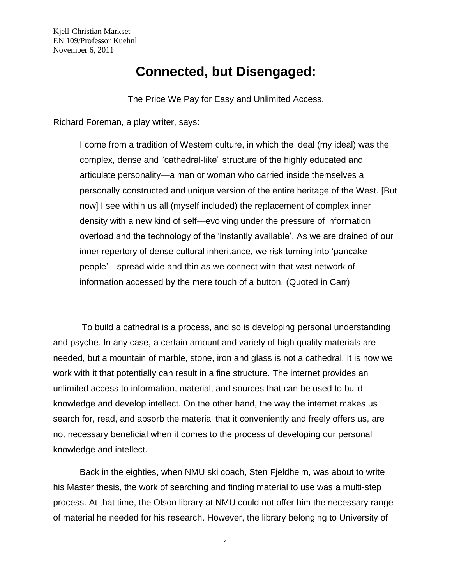## **Connected, but Disengaged:**

The Price We Pay for Easy and Unlimited Access.

Richard Foreman, a play writer, says:

I come from a tradition of Western culture, in which the ideal (my ideal) was the complex, dense and "cathedral-like" structure of the highly educated and articulate personality—a man or woman who carried inside themselves a personally constructed and unique version of the entire heritage of the West. [But now] I see within us all (myself included) the replacement of complex inner density with a new kind of self—evolving under the pressure of information overload and the technology of the 'instantly available'. As we are drained of our inner repertory of dense cultural inheritance, we risk turning into 'pancake people'—spread wide and thin as we connect with that vast network of information accessed by the mere touch of a button. (Quoted in Carr)

To build a cathedral is a process, and so is developing personal understanding and psyche. In any case, a certain amount and variety of high quality materials are needed, but a mountain of marble, stone, iron and glass is not a cathedral. It is how we work with it that potentially can result in a fine structure. The internet provides an unlimited access to information, material, and sources that can be used to build knowledge and develop intellect. On the other hand, the way the internet makes us search for, read, and absorb the material that it conveniently and freely offers us, are not necessary beneficial when it comes to the process of developing our personal knowledge and intellect.

Back in the eighties, when NMU ski coach, Sten Fjeldheim, was about to write his Master thesis, the work of searching and finding material to use was a multi-step process. At that time, the Olson library at NMU could not offer him the necessary range of material he needed for his research. However, the library belonging to University of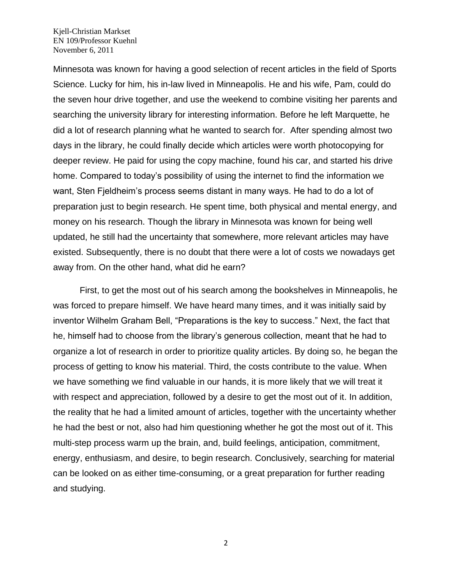Minnesota was known for having a good selection of recent articles in the field of Sports Science. Lucky for him, his in-law lived in Minneapolis. He and his wife, Pam, could do the seven hour drive together, and use the weekend to combine visiting her parents and searching the university library for interesting information. Before he left Marquette, he did a lot of research planning what he wanted to search for. After spending almost two days in the library, he could finally decide which articles were worth photocopying for deeper review. He paid for using the copy machine, found his car, and started his drive home. Compared to today's possibility of using the internet to find the information we want, Sten Fjeldheim's process seems distant in many ways. He had to do a lot of preparation just to begin research. He spent time, both physical and mental energy, and money on his research. Though the library in Minnesota was known for being well updated, he still had the uncertainty that somewhere, more relevant articles may have existed. Subsequently, there is no doubt that there were a lot of costs we nowadays get away from. On the other hand, what did he earn?

First, to get the most out of his search among the bookshelves in Minneapolis, he was forced to prepare himself. We have heard many times, and it was initially said by inventor Wilhelm Graham Bell, "Preparations is the key to success." Next, the fact that he, himself had to choose from the library's generous collection, meant that he had to organize a lot of research in order to prioritize quality articles. By doing so, he began the process of getting to know his material. Third, the costs contribute to the value. When we have something we find valuable in our hands, it is more likely that we will treat it with respect and appreciation, followed by a desire to get the most out of it. In addition, the reality that he had a limited amount of articles, together with the uncertainty whether he had the best or not, also had him questioning whether he got the most out of it. This multi-step process warm up the brain, and, build feelings, anticipation, commitment, energy, enthusiasm, and desire, to begin research. Conclusively, searching for material can be looked on as either time-consuming, or a great preparation for further reading and studying.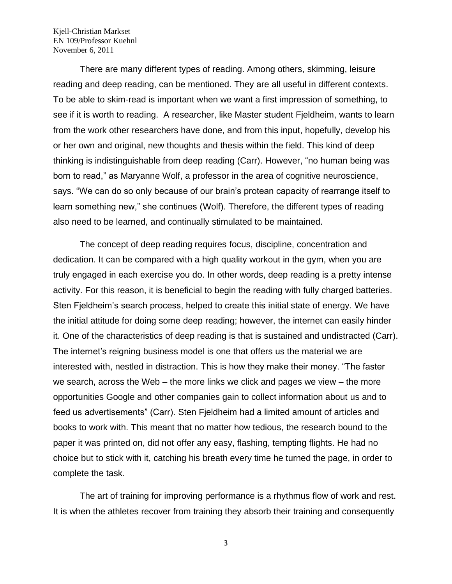There are many different types of reading. Among others, skimming, leisure reading and deep reading, can be mentioned. They are all useful in different contexts. To be able to skim-read is important when we want a first impression of something, to see if it is worth to reading. A researcher, like Master student Fjeldheim, wants to learn from the work other researchers have done, and from this input, hopefully, develop his or her own and original, new thoughts and thesis within the field. This kind of deep thinking is indistinguishable from deep reading (Carr). However, "no human being was born to read," as Maryanne Wolf, a professor in the area of cognitive neuroscience, says. "We can do so only because of our brain's protean capacity of rearrange itself to learn something new," she continues (Wolf). Therefore, the different types of reading also need to be learned, and continually stimulated to be maintained.

The concept of deep reading requires focus, discipline, concentration and dedication. It can be compared with a high quality workout in the gym, when you are truly engaged in each exercise you do. In other words, deep reading is a pretty intense activity. For this reason, it is beneficial to begin the reading with fully charged batteries. Sten Fjeldheim's search process, helped to create this initial state of energy. We have the initial attitude for doing some deep reading; however, the internet can easily hinder it. One of the characteristics of deep reading is that is sustained and undistracted (Carr). The internet's reigning business model is one that offers us the material we are interested with, nestled in distraction. This is how they make their money. "The faster we search, across the Web – the more links we click and pages we view – the more opportunities Google and other companies gain to collect information about us and to feed us advertisements" (Carr). Sten Fjeldheim had a limited amount of articles and books to work with. This meant that no matter how tedious, the research bound to the paper it was printed on, did not offer any easy, flashing, tempting flights. He had no choice but to stick with it, catching his breath every time he turned the page, in order to complete the task.

The art of training for improving performance is a rhythmus flow of work and rest. It is when the athletes recover from training they absorb their training and consequently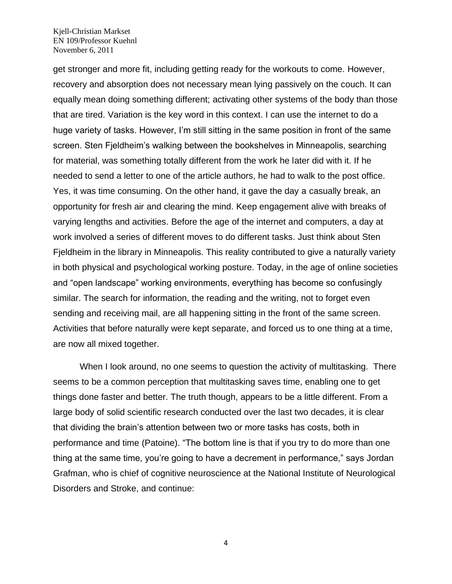get stronger and more fit, including getting ready for the workouts to come. However, recovery and absorption does not necessary mean lying passively on the couch. It can equally mean doing something different; activating other systems of the body than those that are tired. Variation is the key word in this context. I can use the internet to do a huge variety of tasks. However, I'm still sitting in the same position in front of the same screen. Sten Fjeldheim's walking between the bookshelves in Minneapolis, searching for material, was something totally different from the work he later did with it. If he needed to send a letter to one of the article authors, he had to walk to the post office. Yes, it was time consuming. On the other hand, it gave the day a casually break, an opportunity for fresh air and clearing the mind. Keep engagement alive with breaks of varying lengths and activities. Before the age of the internet and computers, a day at work involved a series of different moves to do different tasks. Just think about Sten Fjeldheim in the library in Minneapolis. This reality contributed to give a naturally variety in both physical and psychological working posture. Today, in the age of online societies and "open landscape" working environments, everything has become so confusingly similar. The search for information, the reading and the writing, not to forget even sending and receiving mail, are all happening sitting in the front of the same screen. Activities that before naturally were kept separate, and forced us to one thing at a time, are now all mixed together.

When I look around, no one seems to question the activity of multitasking. There seems to be a common perception that multitasking saves time, enabling one to get things done faster and better. The truth though, appears to be a little different. From a large body of solid scientific research conducted over the last two decades, it is clear that dividing the brain's attention between two or more tasks has costs, both in performance and time (Patoine). "The bottom line is that if you try to do more than one thing at the same time, you're going to have a decrement in performance," says Jordan Grafman, who is chief of cognitive neuroscience at the National Institute of Neurological Disorders and Stroke, and continue: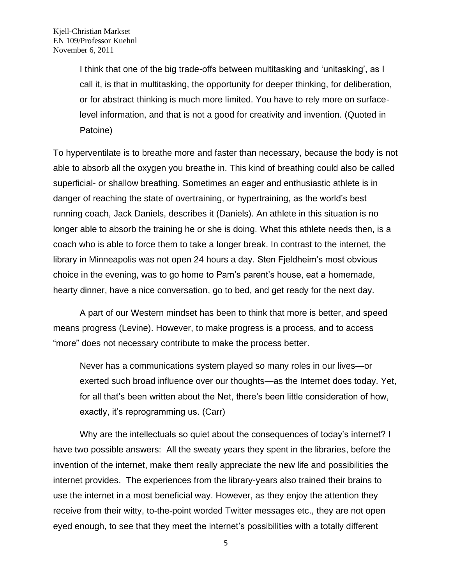I think that one of the big trade-offs between multitasking and 'unitasking', as I call it, is that in multitasking, the opportunity for deeper thinking, for deliberation, or for abstract thinking is much more limited. You have to rely more on surfacelevel information, and that is not a good for creativity and invention. (Quoted in Patoine)

To hyperventilate is to breathe more and faster than necessary, because the body is not able to absorb all the oxygen you breathe in. This kind of breathing could also be called superficial- or shallow breathing. Sometimes an eager and enthusiastic athlete is in danger of reaching the state of overtraining, or hypertraining, as the world's best running coach, Jack Daniels, describes it (Daniels). An athlete in this situation is no longer able to absorb the training he or she is doing. What this athlete needs then, is a coach who is able to force them to take a longer break. In contrast to the internet, the library in Minneapolis was not open 24 hours a day. Sten Fjeldheim's most obvious choice in the evening, was to go home to Pam's parent's house, eat a homemade, hearty dinner, have a nice conversation, go to bed, and get ready for the next day.

A part of our Western mindset has been to think that more is better, and speed means progress (Levine). However, to make progress is a process, and to access "more" does not necessary contribute to make the process better.

Never has a communications system played so many roles in our lives—or exerted such broad influence over our thoughts—as the Internet does today. Yet, for all that's been written about the Net, there's been little consideration of how, exactly, it's reprogramming us. (Carr)

Why are the intellectuals so quiet about the consequences of today's internet? I have two possible answers: All the sweaty years they spent in the libraries, before the invention of the internet, make them really appreciate the new life and possibilities the internet provides. The experiences from the library-years also trained their brains to use the internet in a most beneficial way. However, as they enjoy the attention they receive from their witty, to-the-point worded Twitter messages etc., they are not open eyed enough, to see that they meet the internet's possibilities with a totally different

<sup>5</sup>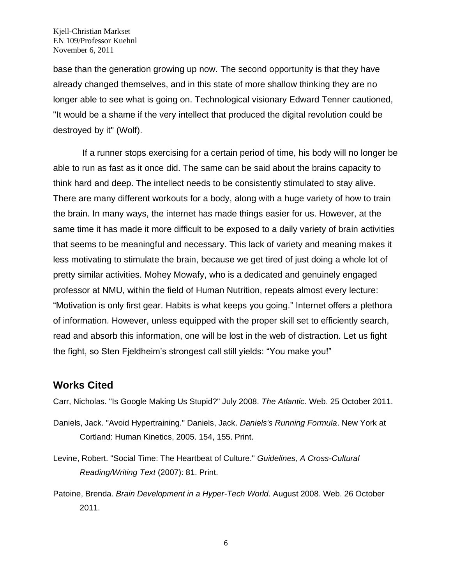base than the generation growing up now. The second opportunity is that they have already changed themselves, and in this state of more shallow thinking they are no longer able to see what is going on. Technological visionary Edward Tenner cautioned, "It would be a shame if the very intellect that produced the digital revolution could be destroyed by it" (Wolf).

If a runner stops exercising for a certain period of time, his body will no longer be able to run as fast as it once did. The same can be said about the brains capacity to think hard and deep. The intellect needs to be consistently stimulated to stay alive. There are many different workouts for a body, along with a huge variety of how to train the brain. In many ways, the internet has made things easier for us. However, at the same time it has made it more difficult to be exposed to a daily variety of brain activities that seems to be meaningful and necessary. This lack of variety and meaning makes it less motivating to stimulate the brain, because we get tired of just doing a whole lot of pretty similar activities. Mohey Mowafy, who is a dedicated and genuinely engaged professor at NMU, within the field of Human Nutrition, repeats almost every lecture: "Motivation is only first gear. Habits is what keeps you going." Internet offers a plethora of information. However, unless equipped with the proper skill set to efficiently search, read and absorb this information, one will be lost in the web of distraction. Let us fight the fight, so Sten Fjeldheim's strongest call still yields: "You make you!"

## **Works Cited**

Carr, Nicholas. "Is Google Making Us Stupid?" July 2008. *The Atlantic.* Web. 25 October 2011.

- Daniels, Jack. "Avoid Hypertraining." Daniels, Jack. *Daniels's Running Formula*. New York at Cortland: Human Kinetics, 2005. 154, 155. Print.
- Levine, Robert. "Social Time: The Heartbeat of Culture." *Guidelines, A Cross-Cultural Reading/Writing Text* (2007): 81. Print.
- Patoine, Brenda. *Brain Development in a Hyper-Tech World*. August 2008. Web. 26 October 2011.